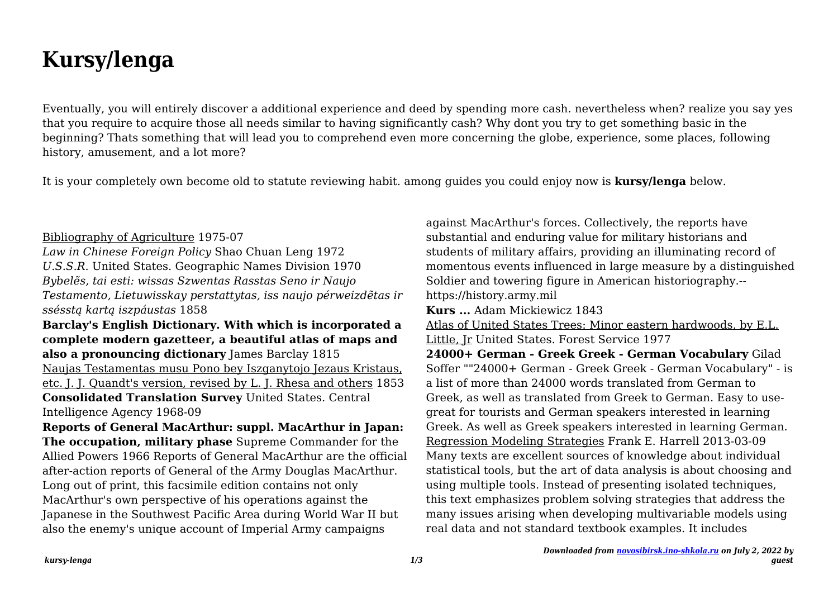# **Kursy/lenga**

Eventually, you will entirely discover a additional experience and deed by spending more cash. nevertheless when? realize you say yes that you require to acquire those all needs similar to having significantly cash? Why dont you try to get something basic in the beginning? Thats something that will lead you to comprehend even more concerning the globe, experience, some places, following history, amusement, and a lot more?

It is your completely own become old to statute reviewing habit. among guides you could enjoy now is **kursy/lenga** below.

### Bibliography of Agriculture 1975-07

*Law in Chinese Foreign Policy* Shao Chuan Leng 1972 *U.S.S.R.* United States. Geographic Names Division 1970 *Bybelẽs, tai esti: wissas Szwentas Rasstas Seno ir Naujo Testamento, Lietuwisskay perstattytas, iss naujo pérweizdẽtas ir ssésstą kartą iszpáustas* 1858

# **Barclay's English Dictionary. With which is incorporated a complete modern gazetteer, a beautiful atlas of maps and also a pronouncing dictionary** James Barclay 1815 Naujas Testamentas musu Pono bey Iszganytojo Jezaus Kristaus, etc. J. J. Quandt's version, revised by L. J. Rhesa and others 1853 **Consolidated Translation Survey** United States. Central

Intelligence Agency 1968-09

**Reports of General MacArthur: suppl. MacArthur in Japan: The occupation, military phase** Supreme Commander for the Allied Powers 1966 Reports of General MacArthur are the official after-action reports of General of the Army Douglas MacArthur. Long out of print, this facsimile edition contains not only MacArthur's own perspective of his operations against the Japanese in the Southwest Pacific Area during World War II but also the enemy's unique account of Imperial Army campaigns

against MacArthur's forces. Collectively, the reports have substantial and enduring value for military historians and students of military affairs, providing an illuminating record of momentous events influenced in large measure by a distinguished Soldier and towering figure in American historiography.- https://history.army.mil **Kurs ...** Adam Mickiewicz 1843 Atlas of United States Trees: Minor eastern hardwoods, by E.L. Little, Jr United States. Forest Service 1977 **24000+ German - Greek Greek - German Vocabulary** Gilad Soffer ""24000+ German - Greek Greek - German Vocabulary" - is a list of more than 24000 words translated from German to Greek, as well as translated from Greek to German. Easy to usegreat for tourists and German speakers interested in learning Greek. As well as Greek speakers interested in learning German. Regression Modeling Strategies Frank E. Harrell 2013-03-09 Many texts are excellent sources of knowledge about individual statistical tools, but the art of data analysis is about choosing and using multiple tools. Instead of presenting isolated techniques, this text emphasizes problem solving strategies that address the many issues arising when developing multivariable models using real data and not standard textbook examples. It includes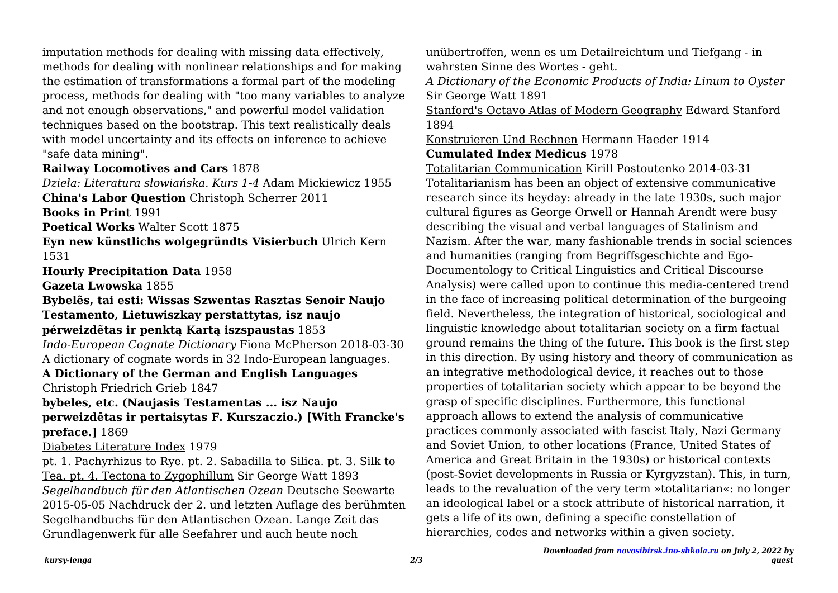imputation methods for dealing with missing data effectively, methods for dealing with nonlinear relationships and for making the estimation of transformations a formal part of the modeling process, methods for dealing with "too many variables to analyze and not enough observations," and powerful model validation techniques based on the bootstrap. This text realistically deals with model uncertainty and its effects on inference to achieve "safe data mining".

### **Railway Locomotives and Cars** 1878

*Dzieła: Literatura słowiańska. Kurs 1-4* Adam Mickiewicz 1955 **China's Labor Question** Christoph Scherrer 2011

**Books in Print** 1991

**Poetical Works** Walter Scott 1875

**Eyn new künstlichs wolgegründts Visierbuch** Ulrich Kern 1531

**Hourly Precipitation Data** 1958

**Gazeta Lwowska** 1855

#### **Bybelẽs, tai esti: Wissas Szwentas Rasztas Senoir Naujo Testamento, Lietuwiszkay perstattytas, isz naujo pérweizdẽtas ir penktą Kartą iszspaustas** 1853

*Indo-European Cognate Dictionary* Fiona McPherson 2018-03-30 A dictionary of cognate words in 32 Indo-European languages.

# **A Dictionary of the German and English Languages**

Christoph Friedrich Grieb 1847

### **bybeles, etc. (Naujasis Testamentas ... isz Naujo perweizdētas ir pertaisytas F. Kurszaczio.) [With Francke's preface.]** 1869

### Diabetes Literature Index 1979

pt. 1. Pachyrhizus to Rye. pt. 2. Sabadilla to Silica. pt. 3. Silk to Tea. pt. 4. Tectona to Zygophillum Sir George Watt 1893 *Segelhandbuch für den Atlantischen Ozean* Deutsche Seewarte 2015-05-05 Nachdruck der 2. und letzten Auflage des berühmten Segelhandbuchs für den Atlantischen Ozean. Lange Zeit das Grundlagenwerk für alle Seefahrer und auch heute noch

unübertroffen, wenn es um Detailreichtum und Tiefgang - in wahrsten Sinne des Wortes - geht.

*A Dictionary of the Economic Products of India: Linum to Oyster* Sir George Watt 1891

Stanford's Octavo Atlas of Modern Geography Edward Stanford 1894

Konstruieren Und Rechnen Hermann Haeder 1914

### **Cumulated Index Medicus** 1978

Totalitarian Communication Kirill Postoutenko 2014-03-31 Totalitarianism has been an object of extensive communicative research since its heyday: already in the late 1930s, such major cultural figures as George Orwell or Hannah Arendt were busy describing the visual and verbal languages of Stalinism and Nazism. After the war, many fashionable trends in social sciences and humanities (ranging from Begriffsgeschichte and Ego-Documentology to Critical Linguistics and Critical Discourse Analysis) were called upon to continue this media-centered trend in the face of increasing political determination of the burgeoing field. Nevertheless, the integration of historical, sociological and linguistic knowledge about totalitarian society on a firm factual ground remains the thing of the future. This book is the first step in this direction. By using history and theory of communication as an integrative methodological device, it reaches out to those properties of totalitarian society which appear to be beyond the grasp of specific disciplines. Furthermore, this functional approach allows to extend the analysis of communicative practices commonly associated with fascist Italy, Nazi Germany and Soviet Union, to other locations (France, United States of America and Great Britain in the 1930s) or historical contexts (post-Soviet developments in Russia or Kyrgyzstan). This, in turn, leads to the revaluation of the very term »totalitarian«: no longer an ideological label or a stock attribute of historical narration, it gets a life of its own, defining a specific constellation of hierarchies, codes and networks within a given society.